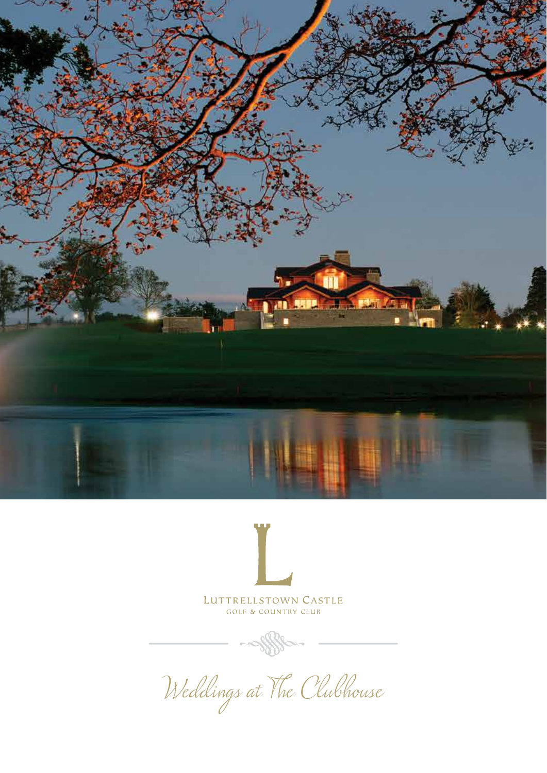



Weddings at The Clubhouse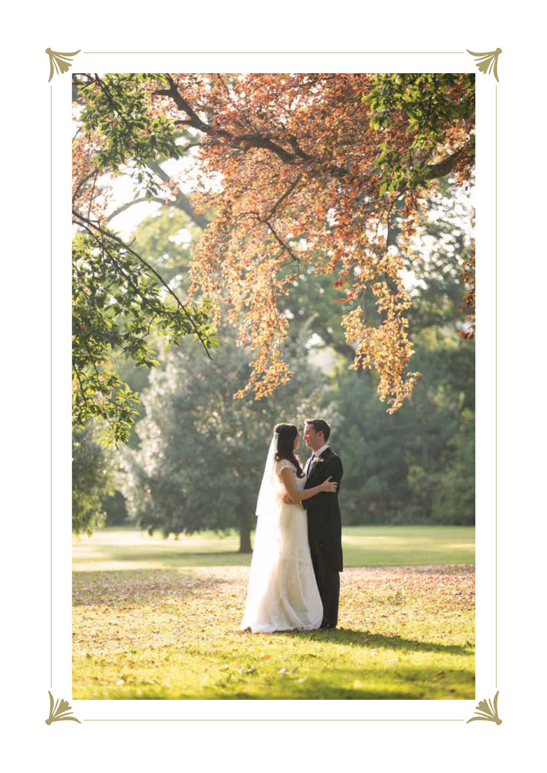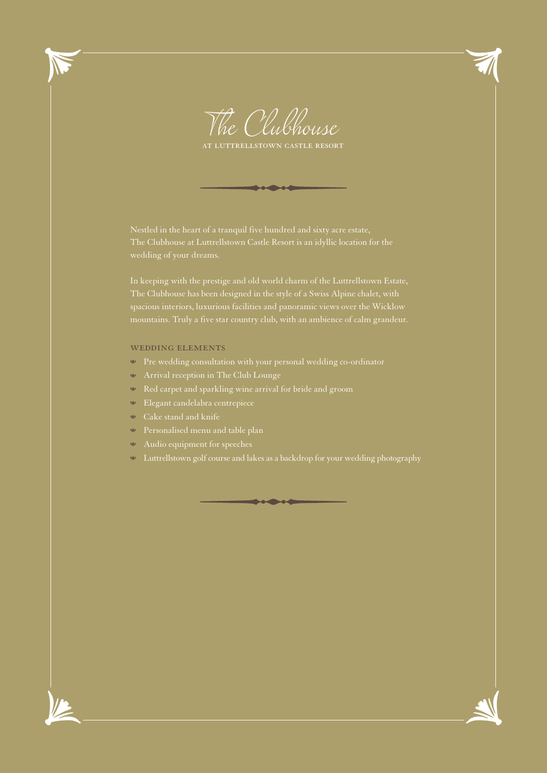

wedding of your dreams.

In keeping with the prestige and old world charm of the Luttrellstown Estate, The Clubhouse has been designed in the style of a Swiss Alpine chalet, with

#### wedding elements

- <sup>f</sup> Pre wedding consultation with your personal wedding co-ordinator
- $\bullet$  Arrival reception in The Club Lounge
- $\bullet$  Red carpet and sparkling wine arrival for bride and groom
- **W** Elegant candelabra centrepiece
- $\bullet$  Cake stand and knife
- $\mathbb W$  Personalised menu and table plan
- $\bullet$  Audio equipment for speeches
- Luttrellstown golf course and lakes as a backdrop for your wedding photography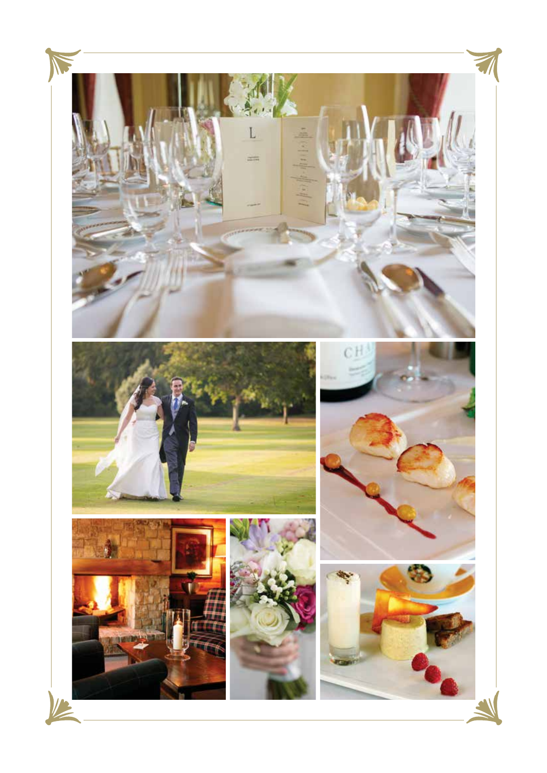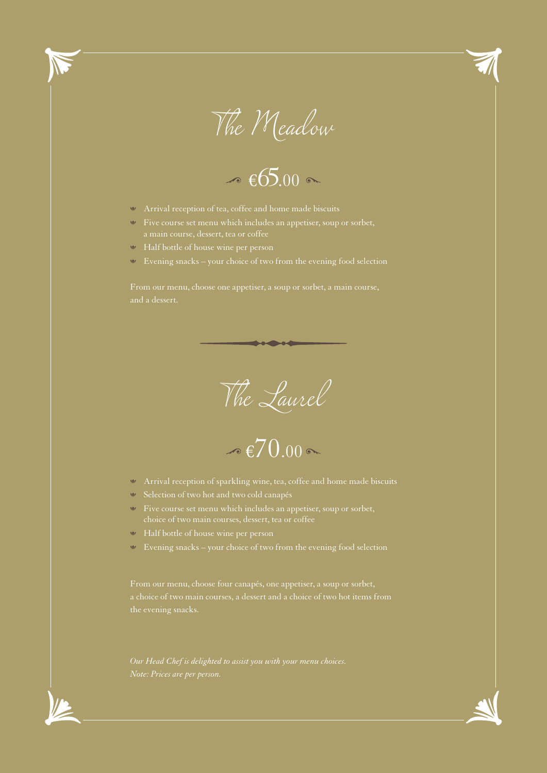

 $\sqrt{65.00}$ 

- $\bullet$  Arrival reception of tea, coffee and home made biscuits
- Five course set menu which includes an appetiser, soup or sorbet,
- <sup>f</sup> Half bottle of house wine per person
- $\bullet$  Evening snacks your choice of two from the evening food selection

From our menu, choose one appetiser, a soup or sorbet, a main course, and a dessert.

*The Laurel*

 $\sim \epsilon 70.00$ 

- <sup>f</sup> Arrival reception of sparkling wine, tea, coffee and home made biscuits
- $\bullet$  Selection of two hot and two cold canapés
- $\blacktriangleright$  Five course set menu which includes an appetiser, soup or sorbet,
- <sup>f</sup> Half bottle of house wine per person
- $\bullet$  Evening snacks your choice of two from the evening food selection

From our menu, choose four canapés, one appetiser, a soup or sorbet, the evening snacks.

*Our Head Chef is delighted to assist you with your menu choices.*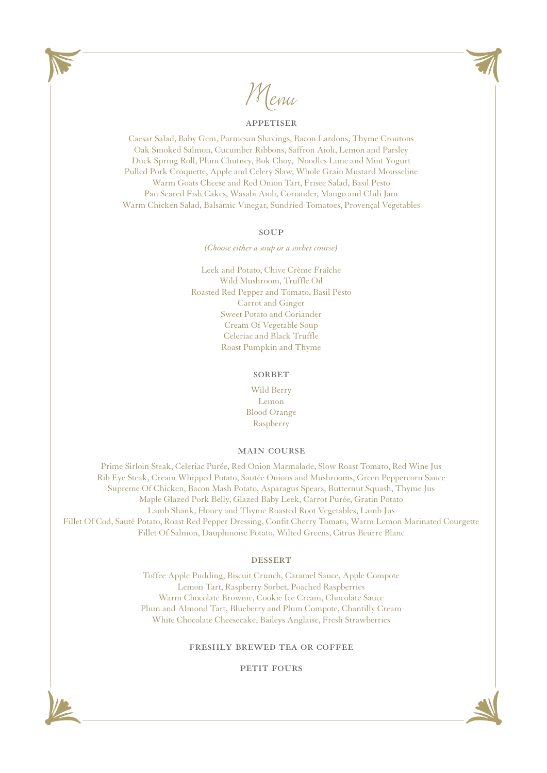*Menu*

#### appetiser

Caesar Salad, Baby Gem, Parmesan Shavings, Bacon Lardons, Thyme Croutons Oak Smoked Salmon, Cucumber Ribbons, Saffron Aioli, Lemon and Parsley Duck Spring Roll, Plum Chutney, Bok Choy, Noodles Lime and Mint Yogurt Pulled Pork Croquette, Apple and Celery Slaw, Whole Grain Mustard Mousseline Warm Goats Cheese and Red Onion Tart, Frisee Salad, Basil Pesto Pan Seared Fish Cakes, Wasabi Aioli, Coriander, Mango and Chili Jam Warm Chicken Salad, Balsamic Vinegar, Sundried Tomatoes, Provençal Vegetables

#### soup

*(Choose either a soup or a sorbet course)* 

Leek and Potato, Chive Crème Fraîche Wild Mushroom, Truffle Oil Roasted Red Pepper and Tomato, Basil Pesto Carrot and Ginger Sweet Potato and Coriander Cream Of Vegetable Soup Celeriac and Black Truffle Roast Pumpkin and Thyme

#### **SORBET**

Wild Berry Lemon Blood Orange Raspberry

#### main course

Prime Sirloin Steak, Celeriac Purée, Red Onion Marmalade, Slow Roast Tomato, Red Wine Jus Rib Eye Steak, Cream Whipped Potato, Sautée Onions and Mushrooms, Green Peppercorn Sauce Supreme Of Chicken, Bacon Mash Potato, Asparagus Spears, Butternut Squash, Thyme Jus Maple Glazed Pork Belly, Glazed Baby Leek, Carrot Purée, Gratin Potato Lamb Shank, Honey and Thyme Roasted Root Vegetables, Lamb Jus Fillet Of Cod, Sauté Potato, Roast Red Pepper Dressing, Confit Cherry Tomato, Warm Lemon Marinated Courgette Fillet Of Salmon, Dauphinoise Potato, Wilted Greens, Citrus Beurre Blanc

## **DESSERT**

Toffee Apple Pudding, Biscuit Crunch, Caramel Sauce, Apple Compote Lemon Tart, Raspberry Sorbet, Poached Raspberries Warm Chocolate Brownie, Cookie Ice Cream, Chocolate Sauce Plum and Almond Tart, Blueberry and Plum Compote, Chantilly Cream White Chocolate Cheesecake, Baileys Anglaise, Fresh Strawberries

# FRESHLY BREWED TEA OR COFFEE

petit fours